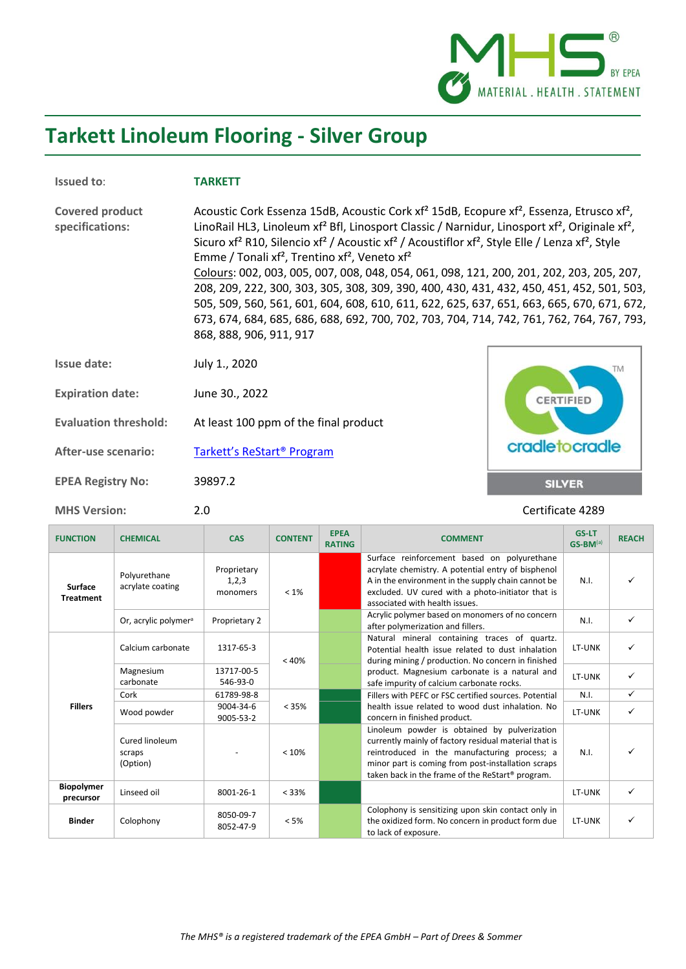

## **Tarkett Linoleum Flooring - Silver Group**

r.

| <b>Issued to:</b>                         | <b>TARKETT</b>                                                                                                                                                                                                                                                                                                                                                                                                                                                                                                                                                                                                                                                                                                                                                                                                                                                                                                                     |                  |
|-------------------------------------------|------------------------------------------------------------------------------------------------------------------------------------------------------------------------------------------------------------------------------------------------------------------------------------------------------------------------------------------------------------------------------------------------------------------------------------------------------------------------------------------------------------------------------------------------------------------------------------------------------------------------------------------------------------------------------------------------------------------------------------------------------------------------------------------------------------------------------------------------------------------------------------------------------------------------------------|------------------|
| <b>Covered product</b><br>specifications: | Acoustic Cork Essenza 15dB, Acoustic Cork xf <sup>2</sup> 15dB, Ecopure xf <sup>2</sup> , Essenza, Etrusco xf <sup>2</sup> ,<br>LinoRail HL3, Linoleum xf <sup>2</sup> Bfl, Linosport Classic / Narnidur, Linosport xf <sup>2</sup> , Originale xf <sup>2</sup> ,<br>Sicuro xf <sup>2</sup> R10, Silencio xf <sup>2</sup> / Acoustic xf <sup>2</sup> / Acoustiflor xf <sup>2</sup> , Style Elle / Lenza xf <sup>2</sup> , Style<br>Emme / Tonali xf <sup>2</sup> , Trentino xf <sup>2</sup> , Veneto xf <sup>2</sup><br>Colours: 002, 003, 005, 007, 008, 048, 054, 061, 098, 121, 200, 201, 202, 203, 205, 207,<br>208, 209, 222, 300, 303, 305, 308, 309, 390, 400, 430, 431, 432, 450, 451, 452, 501, 503,<br>505, 509, 560, 561, 601, 604, 608, 610, 611, 622, 625, 637, 651, 663, 665, 670, 671, 672,<br>673, 674, 684, 685, 686, 688, 692, 700, 702, 703, 704, 714, 742, 761, 762, 764, 767, 793,<br>868, 888, 906, 911, 917 |                  |
| Issue date:                               | July 1., 2020                                                                                                                                                                                                                                                                                                                                                                                                                                                                                                                                                                                                                                                                                                                                                                                                                                                                                                                      | <b>TM</b>        |
| <b>Expiration date:</b>                   | June 30., 2022                                                                                                                                                                                                                                                                                                                                                                                                                                                                                                                                                                                                                                                                                                                                                                                                                                                                                                                     | <b>CERTIFIED</b> |
| <b>Evaluation threshold:</b>              | At least 100 ppm of the final product                                                                                                                                                                                                                                                                                                                                                                                                                                                                                                                                                                                                                                                                                                                                                                                                                                                                                              |                  |
| After-use scenario:                       | Tarkett's ReStart <sup>®</sup> Program                                                                                                                                                                                                                                                                                                                                                                                                                                                                                                                                                                                                                                                                                                                                                                                                                                                                                             | cradletocradle   |
| <b>EPEA Registry No:</b>                  | 39897.2                                                                                                                                                                                                                                                                                                                                                                                                                                                                                                                                                                                                                                                                                                                                                                                                                                                                                                                            | <b>SILVER</b>    |

**MHS Version:** 2.0 2.0 **Certificate 4289** 

| <b>FUNCTION</b>                    | <b>CHEMICAL</b>                      | <b>CAS</b>                       | <b>CONTENT</b> | <b>EPEA</b><br><b>RATING</b> | <b>COMMENT</b>                                                                                                                                                                                                                                                              | <b>GS-LT</b><br>$GS-BM^{(a)}$ | <b>REACH</b> |
|------------------------------------|--------------------------------------|----------------------------------|----------------|------------------------------|-----------------------------------------------------------------------------------------------------------------------------------------------------------------------------------------------------------------------------------------------------------------------------|-------------------------------|--------------|
| <b>Surface</b><br><b>Treatment</b> | Polyurethane<br>acrylate coating     | Proprietary<br>1,2,3<br>monomers | $< 1\%$        |                              | Surface reinforcement based on polyurethane<br>acrylate chemistry. A potential entry of bisphenol<br>A in the environment in the supply chain cannot be<br>excluded. UV cured with a photo-initiator that is<br>associated with health issues.                              | N.I.                          |              |
|                                    | Or, acrylic polymer <sup>a</sup>     | Proprietary 2                    |                |                              | Acrylic polymer based on monomers of no concern<br>after polymerization and fillers.                                                                                                                                                                                        | N.I.                          | ✓            |
|                                    | Calcium carbonate                    | 1317-65-3                        | < 40%          |                              | Natural mineral containing traces of quartz.<br>Potential health issue related to dust inhalation<br>during mining / production. No concern in finished                                                                                                                     | LT-UNK                        | ✓            |
|                                    | Magnesium<br>carbonate               | 13717-00-5<br>546-93-0           |                |                              | product. Magnesium carbonate is a natural and<br>safe impurity of calcium carbonate rocks.                                                                                                                                                                                  | LT-UNK                        | ✓            |
|                                    | Cork                                 | 61789-98-8                       |                |                              | Fillers with PEFC or FSC certified sources. Potential                                                                                                                                                                                                                       | N.I.                          | ✓            |
| <b>Fillers</b>                     | Wood powder                          | 9004-34-6<br>9005-53-2           | < 35%          |                              | health issue related to wood dust inhalation. No<br>concern in finished product.                                                                                                                                                                                            | LT-UNK                        | ✓            |
|                                    | Cured linoleum<br>scraps<br>(Option) |                                  | < 10%          |                              | Linoleum powder is obtained by pulverization<br>currently mainly of factory residual material that is<br>reintroduced in the manufacturing process; a<br>minor part is coming from post-installation scraps<br>taken back in the frame of the ReStart <sup>®</sup> program. | N.I.                          |              |
| <b>Biopolymer</b><br>precursor     | Linseed oil                          | 8001-26-1                        | < 33%          |                              |                                                                                                                                                                                                                                                                             | LT-UNK                        | ✓            |
| <b>Binder</b>                      | Colophony                            | 8050-09-7<br>8052-47-9           | $< 5\%$        |                              | Colophony is sensitizing upon skin contact only in<br>the oxidized form. No concern in product form due<br>to lack of exposure.                                                                                                                                             | LT-UNK                        | ✓            |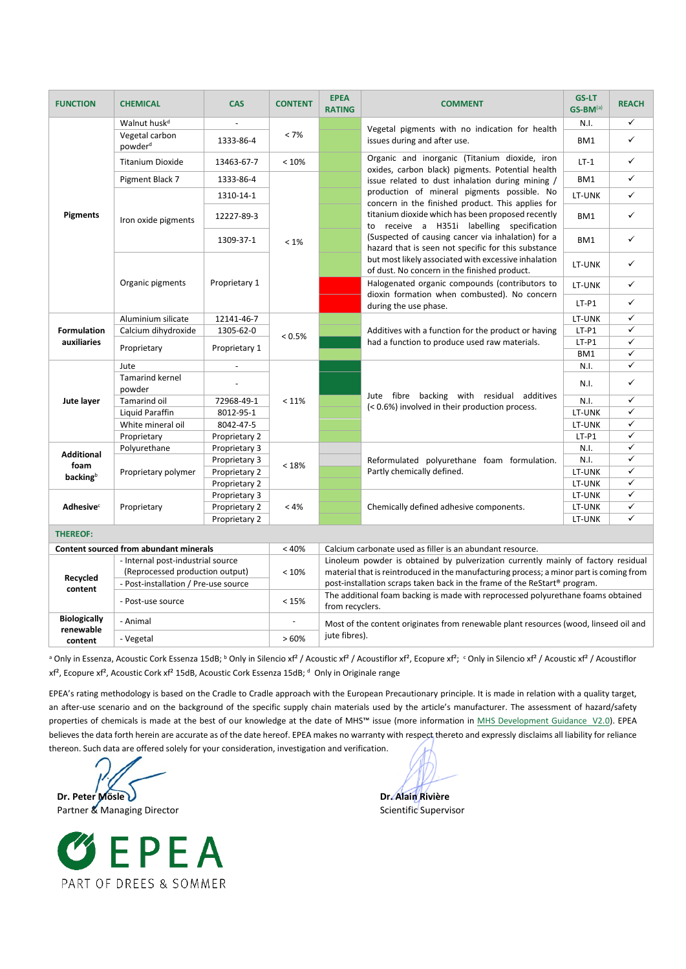| <b>FUNCTION</b>                                                                                                                              | <b>CHEMICAL</b>                                                                                  | <b>CAS</b>                                                                            | <b>CONTENT</b>                                                                    | <b>EPEA</b><br><b>RATING</b>                                                                                                                          | <b>COMMENT</b>                                                                                                                                                                                                                                                                                                                                                                                                           | <b>GS-LT</b><br>$GS-BM^{(a)}$                                                    | <b>REACH</b> |  |
|----------------------------------------------------------------------------------------------------------------------------------------------|--------------------------------------------------------------------------------------------------|---------------------------------------------------------------------------------------|-----------------------------------------------------------------------------------|-------------------------------------------------------------------------------------------------------------------------------------------------------|--------------------------------------------------------------------------------------------------------------------------------------------------------------------------------------------------------------------------------------------------------------------------------------------------------------------------------------------------------------------------------------------------------------------------|----------------------------------------------------------------------------------|--------------|--|
|                                                                                                                                              | Walnut husk <sup>d</sup>                                                                         |                                                                                       |                                                                                   |                                                                                                                                                       |                                                                                                                                                                                                                                                                                                                                                                                                                          | N.I.                                                                             | ✓            |  |
|                                                                                                                                              | Vegetal carbon<br>powder <sup>d</sup>                                                            | 1333-86-4                                                                             | < 7%                                                                              |                                                                                                                                                       | Vegetal pigments with no indication for health<br>issues during and after use.                                                                                                                                                                                                                                                                                                                                           | BM1                                                                              | ✓            |  |
|                                                                                                                                              | <b>Titanium Dioxide</b>                                                                          | 13463-67-7                                                                            | < 10%                                                                             | Organic and inorganic (Titanium dioxide, iron<br>oxides, carbon black) pigments. Potential health<br>issue related to dust inhalation during mining / | $LT-1$                                                                                                                                                                                                                                                                                                                                                                                                                   | ✓                                                                                |              |  |
|                                                                                                                                              | Pigment Black 7                                                                                  | 1333-86-4                                                                             |                                                                                   | BM1                                                                                                                                                   | ✓                                                                                                                                                                                                                                                                                                                                                                                                                        |                                                                                  |              |  |
| <b>Pigments</b><br>Iron oxide pigments                                                                                                       |                                                                                                  | 1310-14-1                                                                             | $< 1\%$                                                                           |                                                                                                                                                       | production of mineral pigments possible. No<br>concern in the finished product. This applies for<br>titanium dioxide which has been proposed recently<br>to receive a H351i labelling specification<br>(Suspected of causing cancer via inhalation) for a<br>hazard that is seen not specific for this substance<br>but most likely associated with excessive inhalation<br>of dust. No concern in the finished product. | LT-UNK                                                                           | ✓            |  |
|                                                                                                                                              |                                                                                                  | 12227-89-3                                                                            |                                                                                   |                                                                                                                                                       |                                                                                                                                                                                                                                                                                                                                                                                                                          | BM1                                                                              | ✓            |  |
|                                                                                                                                              |                                                                                                  | 1309-37-1                                                                             |                                                                                   |                                                                                                                                                       |                                                                                                                                                                                                                                                                                                                                                                                                                          | BM1                                                                              | ✓            |  |
|                                                                                                                                              |                                                                                                  | Proprietary 1                                                                         |                                                                                   |                                                                                                                                                       |                                                                                                                                                                                                                                                                                                                                                                                                                          | LT-UNK                                                                           | ✓            |  |
|                                                                                                                                              | Organic pigments                                                                                 |                                                                                       |                                                                                   |                                                                                                                                                       | Halogenated organic compounds (contributors to<br>dioxin formation when combusted). No concern                                                                                                                                                                                                                                                                                                                           | LT-UNK                                                                           | ✓            |  |
|                                                                                                                                              |                                                                                                  |                                                                                       |                                                                                   |                                                                                                                                                       | during the use phase.                                                                                                                                                                                                                                                                                                                                                                                                    | $LT-P1$                                                                          | ✓            |  |
|                                                                                                                                              | Aluminium silicate                                                                               | 12141-46-7                                                                            |                                                                                   |                                                                                                                                                       | Additives with a function for the product or having                                                                                                                                                                                                                                                                                                                                                                      | LT-UNK                                                                           | ✓            |  |
| <b>Formulation</b>                                                                                                                           | Calcium dihydroxide                                                                              | 1305-62-0                                                                             | $< 0.5\%$                                                                         |                                                                                                                                                       |                                                                                                                                                                                                                                                                                                                                                                                                                          | $LT-P1$                                                                          | ✓            |  |
| auxiliaries                                                                                                                                  | Proprietary                                                                                      | Proprietary 1                                                                         |                                                                                   |                                                                                                                                                       |                                                                                                                                                                                                                                                                                                                                                                                                                          | $LT-P1$<br>BM1                                                                   | ✓<br>✓       |  |
|                                                                                                                                              | Jute                                                                                             |                                                                                       |                                                                                   |                                                                                                                                                       |                                                                                                                                                                                                                                                                                                                                                                                                                          |                                                                                  |              |  |
|                                                                                                                                              | <b>Tamarind kernel</b>                                                                           |                                                                                       |                                                                                   |                                                                                                                                                       | had a function to produce used raw materials.<br>Jute fibre backing with residual additives<br>(< 0.6%) involved in their production process.                                                                                                                                                                                                                                                                            |                                                                                  |              |  |
|                                                                                                                                              | powder                                                                                           |                                                                                       |                                                                                   |                                                                                                                                                       |                                                                                                                                                                                                                                                                                                                                                                                                                          |                                                                                  |              |  |
| Jute layer                                                                                                                                   | Tamarind oil                                                                                     | 72968-49-1                                                                            | < 11%                                                                             |                                                                                                                                                       |                                                                                                                                                                                                                                                                                                                                                                                                                          | N.I.                                                                             | ✓            |  |
|                                                                                                                                              | Liquid Paraffin                                                                                  | 8012-95-1                                                                             |                                                                                   |                                                                                                                                                       |                                                                                                                                                                                                                                                                                                                                                                                                                          | LT-UNK                                                                           | ✓            |  |
|                                                                                                                                              | White mineral oil                                                                                | 8042-47-5                                                                             |                                                                                   |                                                                                                                                                       |                                                                                                                                                                                                                                                                                                                                                                                                                          | LT-UNK                                                                           | ✓            |  |
|                                                                                                                                              | Proprietary                                                                                      | Proprietary 2                                                                         |                                                                                   |                                                                                                                                                       |                                                                                                                                                                                                                                                                                                                                                                                                                          | $LT-P1$                                                                          | ✓            |  |
|                                                                                                                                              | Polyurethane                                                                                     | Proprietary 3                                                                         |                                                                                   |                                                                                                                                                       |                                                                                                                                                                                                                                                                                                                                                                                                                          | N.I.                                                                             | ✓            |  |
|                                                                                                                                              |                                                                                                  | Proprietary 3                                                                         | < 18%                                                                             |                                                                                                                                                       | Reformulated polyurethane foam formulation.                                                                                                                                                                                                                                                                                                                                                                              | ✓<br>N.I.<br>✓<br>N.I.<br>✓<br>N.I.<br>✓<br>LT-UNK<br>✓<br>LT-UNK<br>LT-UNK<br>✓ |              |  |
| <b>Additional</b><br>foam<br>backingb                                                                                                        | Proprietary polymer                                                                              | Proprietary 2                                                                         |                                                                                   |                                                                                                                                                       | Partly chemically defined.                                                                                                                                                                                                                                                                                                                                                                                               |                                                                                  |              |  |
|                                                                                                                                              |                                                                                                  | Proprietary 2                                                                         |                                                                                   |                                                                                                                                                       |                                                                                                                                                                                                                                                                                                                                                                                                                          |                                                                                  |              |  |
|                                                                                                                                              | Proprietary 3                                                                                    |                                                                                       |                                                                                   |                                                                                                                                                       |                                                                                                                                                                                                                                                                                                                                                                                                                          |                                                                                  |              |  |
| <b>Adhesive</b> <sup>c</sup>                                                                                                                 | Proprietary                                                                                      | Proprietary 2                                                                         | < 4%                                                                              | Chemically defined adhesive components.                                                                                                               | LT-UNK                                                                                                                                                                                                                                                                                                                                                                                                                   | ✓                                                                                |              |  |
|                                                                                                                                              |                                                                                                  | Proprietary 2                                                                         |                                                                                   |                                                                                                                                                       |                                                                                                                                                                                                                                                                                                                                                                                                                          | LT-UNK                                                                           | $\checkmark$ |  |
| <b>THEREOF:</b>                                                                                                                              |                                                                                                  |                                                                                       |                                                                                   |                                                                                                                                                       |                                                                                                                                                                                                                                                                                                                                                                                                                          |                                                                                  |              |  |
|                                                                                                                                              | Content sourced from abundant minerals                                                           |                                                                                       | < 40%                                                                             |                                                                                                                                                       | Calcium carbonate used as filler is an abundant resource.                                                                                                                                                                                                                                                                                                                                                                |                                                                                  |              |  |
| - Internal post-industrial source<br>(Reprocessed production output)<br>< 10%<br>Recycled<br>- Post-installation / Pre-use source<br>content |                                                                                                  |                                                                                       | Linoleum powder is obtained by pulverization currently mainly of factory residual |                                                                                                                                                       |                                                                                                                                                                                                                                                                                                                                                                                                                          |                                                                                  |              |  |
|                                                                                                                                              |                                                                                                  |                                                                                       |                                                                                   | material that is reintroduced in the manufacturing process; a minor part is coming from                                                               |                                                                                                                                                                                                                                                                                                                                                                                                                          |                                                                                  |              |  |
|                                                                                                                                              |                                                                                                  | post-installation scraps taken back in the frame of the ReStart <sup>®</sup> program. |                                                                                   |                                                                                                                                                       |                                                                                                                                                                                                                                                                                                                                                                                                                          |                                                                                  |              |  |
|                                                                                                                                              | - Post-use source                                                                                |                                                                                       | < 15%                                                                             | The additional foam backing is made with reprocessed polyurethane foams obtained<br>from recyclers.                                                   |                                                                                                                                                                                                                                                                                                                                                                                                                          |                                                                                  |              |  |
| <b>Biologically</b>                                                                                                                          | - Animal<br>Most of the content originates from renewable plant resources (wood, linseed oil and |                                                                                       |                                                                                   |                                                                                                                                                       |                                                                                                                                                                                                                                                                                                                                                                                                                          |                                                                                  |              |  |
| renewable<br>- Vegetal<br>content                                                                                                            |                                                                                                  | >60%                                                                                  | jute fibres).                                                                     |                                                                                                                                                       |                                                                                                                                                                                                                                                                                                                                                                                                                          |                                                                                  |              |  |

ª Only in Essenza, Acoustic Cork Essenza 15dB; ʰ Only in Silencio xf² / Acoustic xf² / Acoustiflor xf², Ecopure xf²; ˚ Only in Silencio xf² / Acoustic xf² / Acoustiflor xf<sup>2</sup>, Ecopure xf<sup>2</sup>, Acoustic Cork xf<sup>2</sup> 15dB, Acoustic Cork Essenza 15dB; <sup>d</sup> Only in Originale range

EPEA's rating methodology is based on the Cradle to Cradle approach with the European Precautionary principle. It is made in relation with a quality target, an after-use scenario and on the background of the specific supply chain materials used by the article's manufacturer. The assessment of hazard/safety properties of chemicals is made at the best of our knowledge at the date of MHS™ issue (more information in [MHS Development Guidance V2.0\).](file:///C:/Users/Riviere/AppData/Roaming/Microsoft/Word/MHS%20Development%20Guidance%20%20V2.0) EPEA believes the data forth herein are accurate as of the date hereof. EPEA makes no warranty with respect thereto and expressly disclaims all liability for reliance thereon. Such data are offered solely for your consideration, investigation and verification.

**Dr. Peter Mösle Dr. Alain Rivière**

Partner & Managing Director Scientific Supervisor